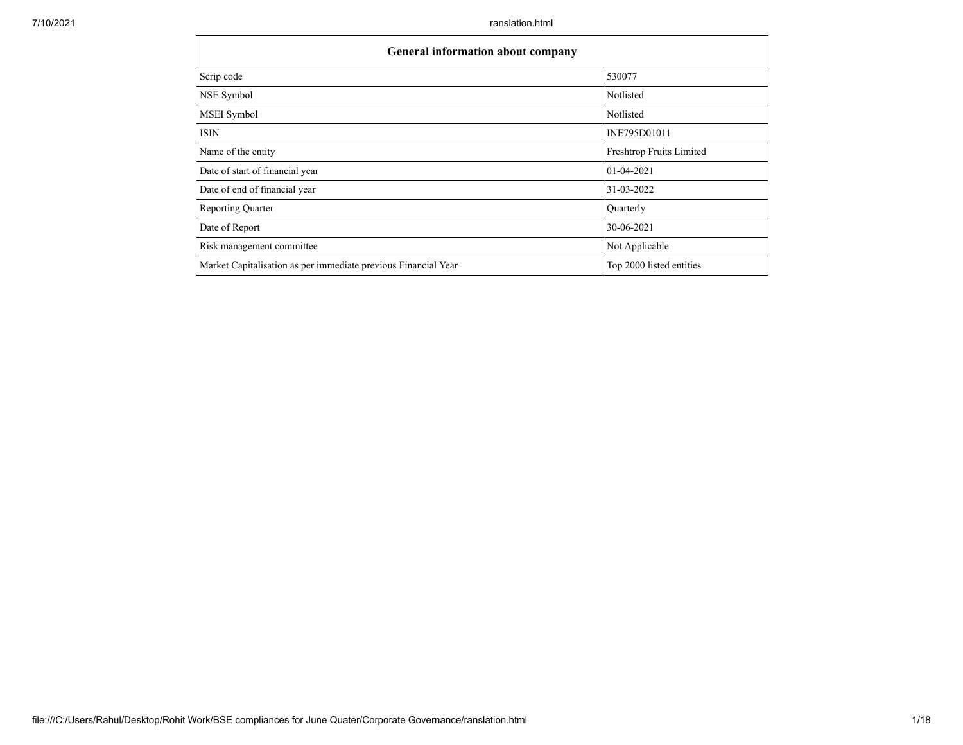| General information about company                              |                          |  |  |  |  |  |  |  |
|----------------------------------------------------------------|--------------------------|--|--|--|--|--|--|--|
| Scrip code                                                     | 530077                   |  |  |  |  |  |  |  |
| NSE Symbol                                                     | Notlisted                |  |  |  |  |  |  |  |
| MSEI Symbol                                                    | Notlisted                |  |  |  |  |  |  |  |
| <b>ISIN</b>                                                    | INE795D01011             |  |  |  |  |  |  |  |
| Name of the entity                                             | Freshtrop Fruits Limited |  |  |  |  |  |  |  |
| Date of start of financial year                                | $01 - 04 - 2021$         |  |  |  |  |  |  |  |
| Date of end of financial year                                  | 31-03-2022               |  |  |  |  |  |  |  |
| <b>Reporting Quarter</b>                                       | Quarterly                |  |  |  |  |  |  |  |
| Date of Report                                                 | 30-06-2021               |  |  |  |  |  |  |  |
| Risk management committee                                      | Not Applicable           |  |  |  |  |  |  |  |
| Market Capitalisation as per immediate previous Financial Year | Top 2000 listed entities |  |  |  |  |  |  |  |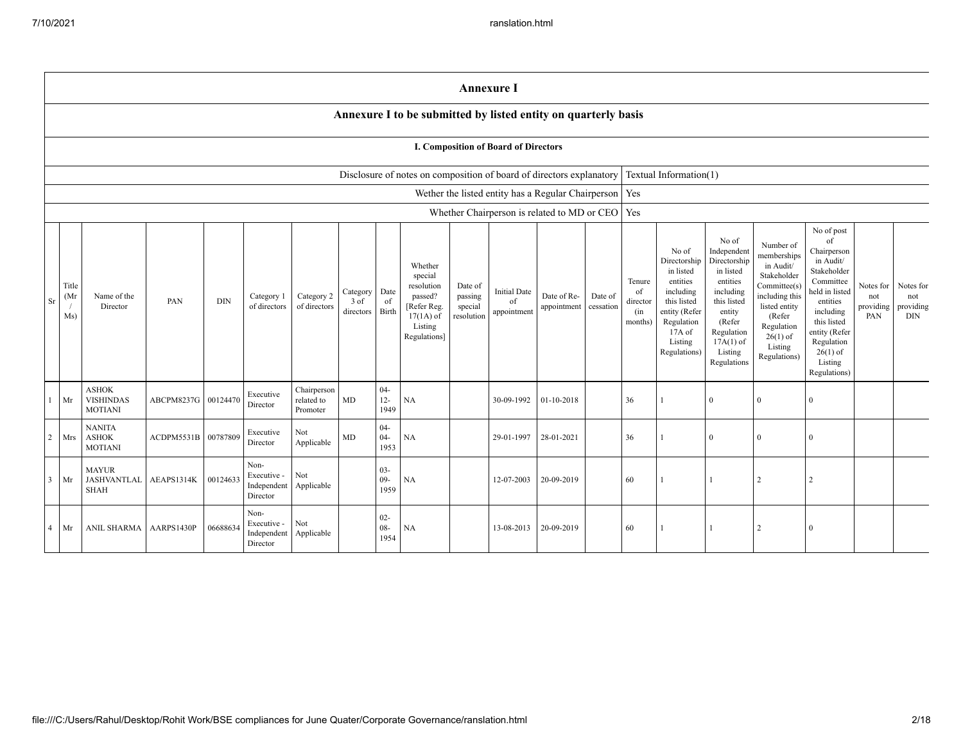|                |                      |                                                    |            |            |                                                |                                       |                                 |                          |                                                                                                      | <b>Annexure I</b>                           |                                          |                                                    |                      |                                            |                                                                                                                                                |                                                                                                                                                                      |                                                                                                                                                                          |                                                                                                                                                                                                            |                                      |                                             |
|----------------|----------------------|----------------------------------------------------|------------|------------|------------------------------------------------|---------------------------------------|---------------------------------|--------------------------|------------------------------------------------------------------------------------------------------|---------------------------------------------|------------------------------------------|----------------------------------------------------|----------------------|--------------------------------------------|------------------------------------------------------------------------------------------------------------------------------------------------|----------------------------------------------------------------------------------------------------------------------------------------------------------------------|--------------------------------------------------------------------------------------------------------------------------------------------------------------------------|------------------------------------------------------------------------------------------------------------------------------------------------------------------------------------------------------------|--------------------------------------|---------------------------------------------|
|                |                      |                                                    |            |            |                                                |                                       |                                 |                          | Annexure I to be submitted by listed entity on quarterly basis                                       |                                             |                                          |                                                    |                      |                                            |                                                                                                                                                |                                                                                                                                                                      |                                                                                                                                                                          |                                                                                                                                                                                                            |                                      |                                             |
|                |                      |                                                    |            |            |                                                |                                       |                                 |                          |                                                                                                      |                                             | I. Composition of Board of Directors     |                                                    |                      |                                            |                                                                                                                                                |                                                                                                                                                                      |                                                                                                                                                                          |                                                                                                                                                                                                            |                                      |                                             |
|                |                      |                                                    |            |            |                                                |                                       |                                 |                          | Disclosure of notes on composition of board of directors explanatory                                 |                                             |                                          |                                                    |                      |                                            | Textual Information(1)                                                                                                                         |                                                                                                                                                                      |                                                                                                                                                                          |                                                                                                                                                                                                            |                                      |                                             |
|                |                      |                                                    |            |            |                                                |                                       |                                 |                          |                                                                                                      |                                             |                                          | Wether the listed entity has a Regular Chairperson |                      | Yes                                        |                                                                                                                                                |                                                                                                                                                                      |                                                                                                                                                                          |                                                                                                                                                                                                            |                                      |                                             |
|                |                      |                                                    |            |            |                                                |                                       |                                 |                          |                                                                                                      |                                             |                                          | Whether Chairperson is related to MD or CEO        |                      | Yes                                        |                                                                                                                                                |                                                                                                                                                                      |                                                                                                                                                                          |                                                                                                                                                                                                            |                                      |                                             |
| $\rm Sr$       | Title<br>(Mr)<br>Ms) | Name of the<br>Director                            | PAN        | <b>DIN</b> | Category 1<br>of directors                     | Category 2<br>of directors            | Category<br>3 of<br>directors 1 | Date<br>of<br>Birth      | Whether<br>special<br>resolution<br>passed?<br>[Refer Reg.<br>$17(1A)$ of<br>Listing<br>Regulations] | Date of<br>passing<br>special<br>resolution | <b>Initial Date</b><br>of<br>appointment | Date of Re-<br>appointment                         | Date of<br>cessation | Tenure<br>of<br>director<br>(in<br>months) | No of<br>Directorship<br>in listed<br>entities<br>including<br>this listed<br>entity (Refer<br>Regulation<br>17A of<br>Listing<br>Regulations) | No of<br>Independent<br>Directorship<br>in listed<br>entities<br>including<br>this listed<br>entity<br>(Refer<br>Regulation<br>$17A(1)$ of<br>Listing<br>Regulations | Number of<br>memberships<br>in Audit/<br>Stakeholder<br>Committee(s)<br>including this<br>listed entity<br>(Refer<br>Regulation<br>$26(1)$ of<br>Listing<br>Regulations) | No of post<br>of<br>Chairperson<br>in Audit/<br>Stakeholder<br>Committee<br>held in listed<br>entities<br>including<br>this listed<br>entity (Refer<br>Regulation<br>$26(1)$ of<br>Listing<br>Regulations) | Notes for<br>not<br>providing<br>PAN | Notes for<br>not<br>providing<br><b>DIN</b> |
| $\mathbf{1}$   | Mr                   | <b>ASHOK</b><br><b>VISHINDAS</b><br><b>MOTIANI</b> | ABCPM8237G | 00124470   | Executive<br>Director                          | Chairperson<br>related to<br>Promoter | MD                              | $04 -$<br>$12 -$<br>1949 | NA                                                                                                   |                                             | 30-09-1992                               | $01-10-2018$                                       |                      | 36                                         |                                                                                                                                                | $\Omega$                                                                                                                                                             | $\Omega$                                                                                                                                                                 | $\Omega$                                                                                                                                                                                                   |                                      |                                             |
| $\overline{c}$ | Mrs                  | <b>NANITA</b><br><b>ASHOK</b><br><b>MOTIANI</b>    | ACDPM5531B | 00787809   | Executive<br>Director                          | Not<br>Applicable                     | $\rm MD$                        | $04 -$<br>$04 -$<br>1953 | NA                                                                                                   |                                             | 29-01-1997                               | 28-01-2021                                         |                      | 36                                         |                                                                                                                                                | $\Omega$                                                                                                                                                             | $\Omega$                                                                                                                                                                 | $\Omega$                                                                                                                                                                                                   |                                      |                                             |
| $\overline{3}$ | Mr                   | <b>MAYUR</b><br><b>JASHVANTLAL</b><br><b>SHAH</b>  | AEAPS1314K | 00124633   | Non-<br>Executive -<br>Independent<br>Director | Not<br>Applicable                     |                                 | $03 -$<br>$09 -$<br>1959 | $_{\rm NA}$                                                                                          |                                             | 12-07-2003                               | 20-09-2019                                         |                      | 60                                         |                                                                                                                                                |                                                                                                                                                                      | $\overline{2}$                                                                                                                                                           | $\overline{2}$                                                                                                                                                                                             |                                      |                                             |
| $\overline{4}$ | Mr                   | ANIL SHARMA                                        | AARPS1430P | 06688634   | Non-<br>Executive -<br>Independent<br>Director | Not<br>Applicable                     |                                 | $02 -$<br>$08 -$<br>1954 | NA                                                                                                   |                                             | 13-08-2013                               | 20-09-2019                                         |                      | 60                                         |                                                                                                                                                |                                                                                                                                                                      | 2                                                                                                                                                                        | $\Omega$                                                                                                                                                                                                   |                                      |                                             |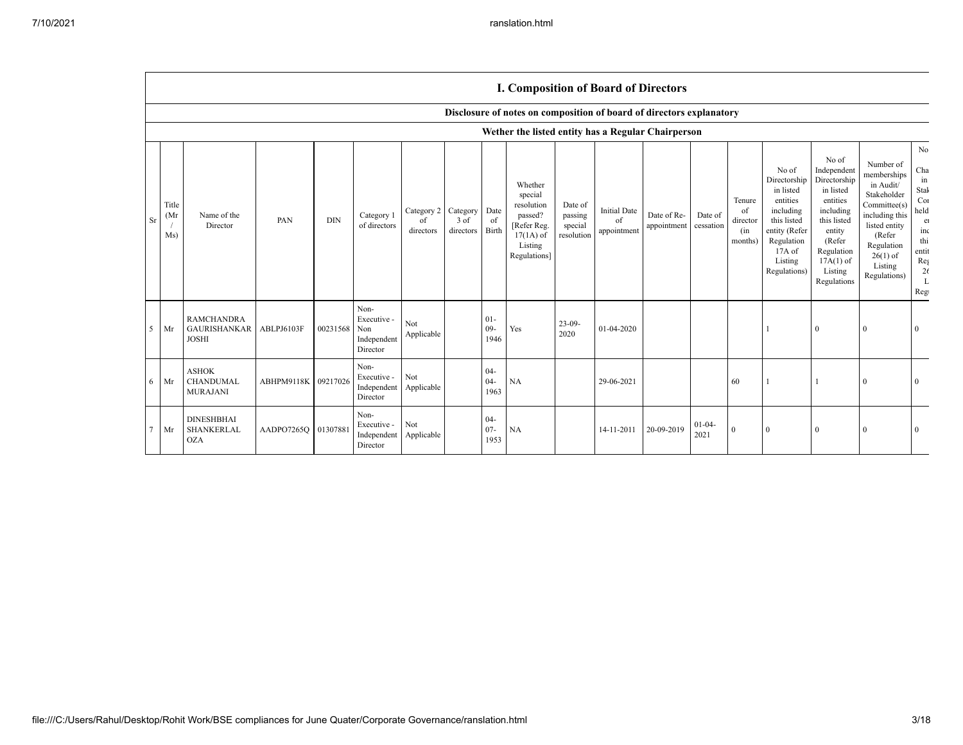|                            |                                                          |            |              |                                                |                               |                               |                          | <b>I. Composition of Board of Directors</b>                                                          |                                             |                                          |                            |                      |                                            |                                                                                                                                                  |                                                                                                                                                                      |                                                                                                                                                                          |                                                                                                                     |
|----------------------------|----------------------------------------------------------|------------|--------------|------------------------------------------------|-------------------------------|-------------------------------|--------------------------|------------------------------------------------------------------------------------------------------|---------------------------------------------|------------------------------------------|----------------------------|----------------------|--------------------------------------------|--------------------------------------------------------------------------------------------------------------------------------------------------|----------------------------------------------------------------------------------------------------------------------------------------------------------------------|--------------------------------------------------------------------------------------------------------------------------------------------------------------------------|---------------------------------------------------------------------------------------------------------------------|
|                            |                                                          |            |              |                                                |                               |                               |                          | Disclosure of notes on composition of board of directors explanatory                                 |                                             |                                          |                            |                      |                                            |                                                                                                                                                  |                                                                                                                                                                      |                                                                                                                                                                          |                                                                                                                     |
|                            |                                                          |            |              |                                                |                               |                               |                          | Wether the listed entity has a Regular Chairperson                                                   |                                             |                                          |                            |                      |                                            |                                                                                                                                                  |                                                                                                                                                                      |                                                                                                                                                                          |                                                                                                                     |
| Title<br>(Mr)<br>Sr<br>Ms) | Name of the<br>Director                                  | PAN        | <b>DIN</b>   | Category 1<br>of directors                     | Category 2<br>of<br>directors | Category<br>3 of<br>directors | Date<br>of<br>Birth      | Whether<br>special<br>resolution<br>passed?<br>[Refer Reg.<br>$17(1A)$ of<br>Listing<br>Regulations] | Date of<br>passing<br>special<br>resolution | <b>Initial Date</b><br>of<br>appointment | Date of Re-<br>appointment | Date of<br>cessation | Tenure<br>of<br>director<br>(in<br>months) | No of<br>Directorship<br>in listed<br>entities<br>including<br>this listed<br>entity (Refer<br>Regulation<br>$17A$ of<br>Listing<br>Regulations) | No of<br>Independent<br>Directorship<br>in listed<br>entities<br>including<br>this listed<br>entity<br>(Refer<br>Regulation<br>$17A(1)$ of<br>Listing<br>Regulations | Number of<br>memberships<br>in Audit/<br>Stakeholder<br>Committee(s)<br>including this<br>listed entity<br>(Refer<br>Regulation<br>$26(1)$ of<br>Listing<br>Regulations) | No<br>Cha<br>in<br>Stak<br>Cor<br>held<br>e<br>inc<br>thi<br>entit<br>$\text{Re} \xi$<br>26<br>$\mathbf{L}$<br>Regi |
| 5<br>Mr                    | <b>RAMCHANDRA</b><br><b>GAURISHANKAR</b><br><b>JOSHI</b> | ABLPJ6103F | 00231568 Non | Non-<br>Executive -<br>Independent<br>Director | Not<br>Applicable             |                               | $01 -$<br>$09 -$<br>1946 | Yes                                                                                                  | $23-09-$<br>2020                            | 01-04-2020                               |                            |                      |                                            |                                                                                                                                                  | $\mathbf{0}$                                                                                                                                                         | $\mathbf{0}$                                                                                                                                                             | $\Omega$                                                                                                            |
| Mr<br>6                    | <b>ASHOK</b><br><b>CHANDUMAL</b><br>MURAJANI             | ABHPM9118K | 09217026     | Non-<br>Executive -<br>Independent<br>Director | Not<br>Applicable             |                               | $04 -$<br>$04 -$<br>1963 | <b>NA</b>                                                                                            |                                             | 29-06-2021                               |                            |                      | 60                                         |                                                                                                                                                  |                                                                                                                                                                      | $\theta$                                                                                                                                                                 | $\Omega$                                                                                                            |
| Mr                         | <b>DINESHBHAI</b><br>SHANKERLAL<br><b>OZA</b>            | AADPO7265Q | 01307881     | Non-<br>Executive -<br>Independent<br>Director | Not<br>Applicable             |                               | $04 -$<br>$07 -$<br>1953 | <b>NA</b>                                                                                            |                                             | 14-11-2011                               | 20-09-2019                 | $01 - 04 -$<br>2021  | $\mathbf{0}$                               | $\Omega$                                                                                                                                         | $\mathbf{0}$                                                                                                                                                         | $\mathbf{0}$                                                                                                                                                             | $\Omega$                                                                                                            |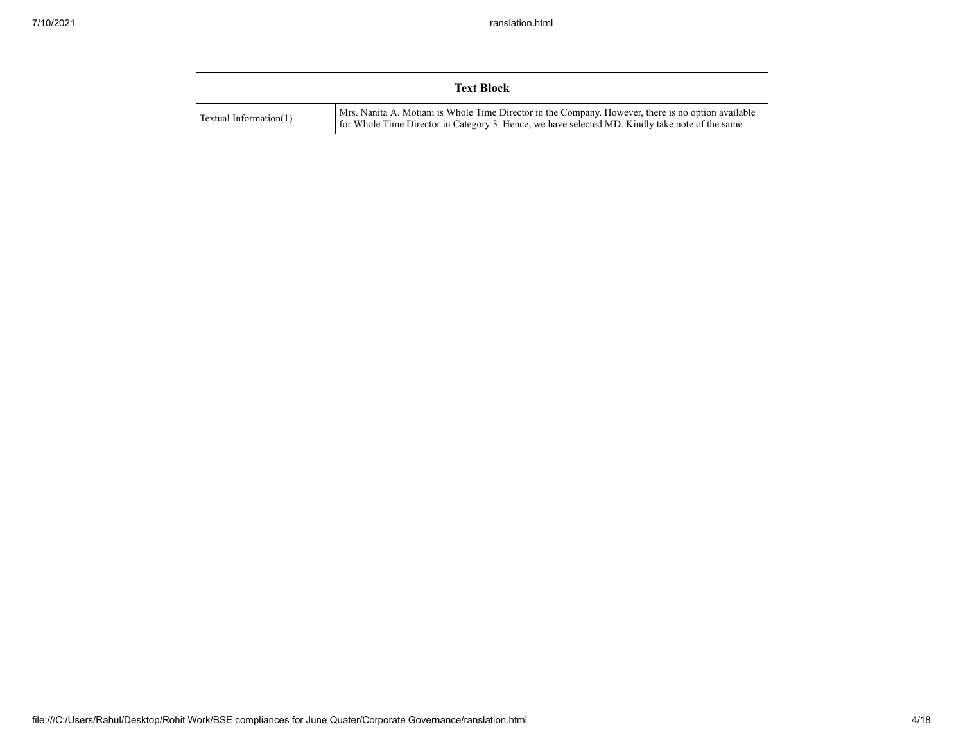|                        | <b>Text Block</b>                                                                                                                                                                                      |
|------------------------|--------------------------------------------------------------------------------------------------------------------------------------------------------------------------------------------------------|
| Textual Information(1) | Mrs. Nanita A. Motiani is Whole Time Director in the Company. However, there is no option available<br>for Whole Time Director in Category 3. Hence, we have selected MD. Kindly take note of the same |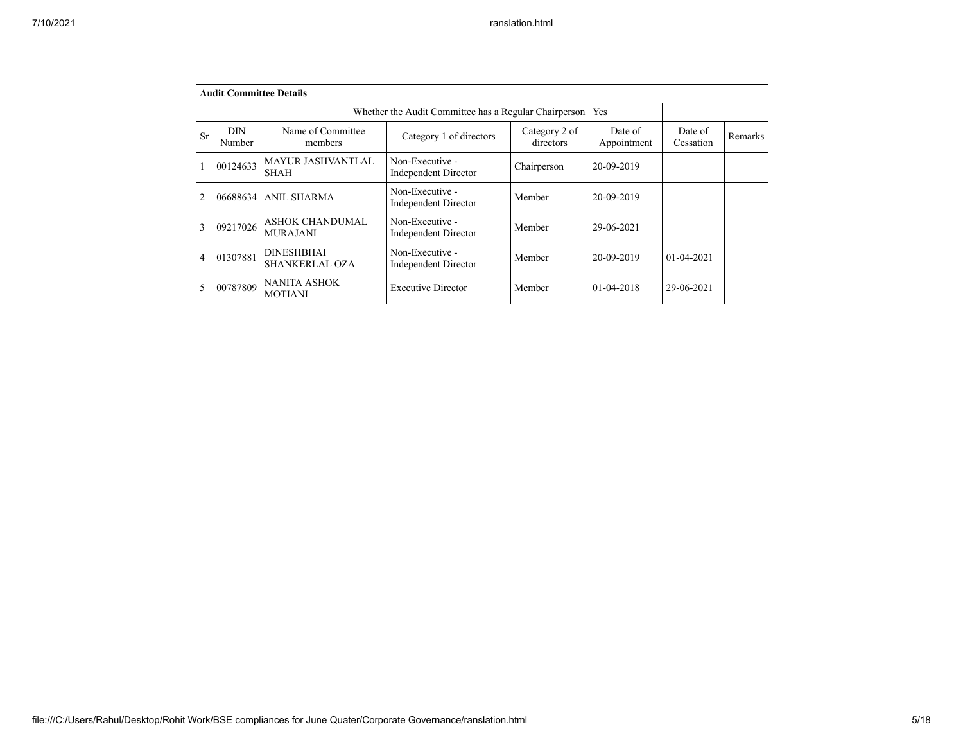|                | <b>Audit Committee Details</b> |                                                                                                          |                                                       |            |              |                      |         |
|----------------|--------------------------------|----------------------------------------------------------------------------------------------------------|-------------------------------------------------------|------------|--------------|----------------------|---------|
|                |                                |                                                                                                          | Whether the Audit Committee has a Regular Chairperson |            | Yes          |                      |         |
| <b>Sr</b>      | <b>DIN</b><br>Number           | Name of Committee<br>Category 2 of<br>Category 1 of directors<br>directors<br>members<br>Non-Executive - |                                                       |            |              | Date of<br>Cessation | Remarks |
|                | 00124633                       | <b>MAYUR JASHVANTLAL</b><br><b>SHAH</b>                                                                  | Chairperson                                           | 20-09-2019 |              |                      |         |
| $\overline{2}$ | 06688634                       | <b>ANIL SHARMA</b>                                                                                       | Non-Executive -<br><b>Independent Director</b>        | Member     | 20-09-2019   |                      |         |
| 3              | 09217026                       | <b>ASHOK CHANDUMAL</b><br><b>MURAJANI</b>                                                                | Non-Executive -<br><b>Independent Director</b>        | Member     | 29-06-2021   |                      |         |
| $\overline{4}$ | 01307881                       | <b>DINESHBHAI</b><br>SHANKERLAL OZA                                                                      | Non-Executive -<br><b>Independent Director</b>        | Member     | 20-09-2019   | $01 - 04 - 2021$     |         |
| 5              | 00787809                       | <b>NANITA ASHOK</b><br><b>MOTIANI</b>                                                                    | <b>Executive Director</b>                             | Member     | $01-04-2018$ | 29-06-2021           |         |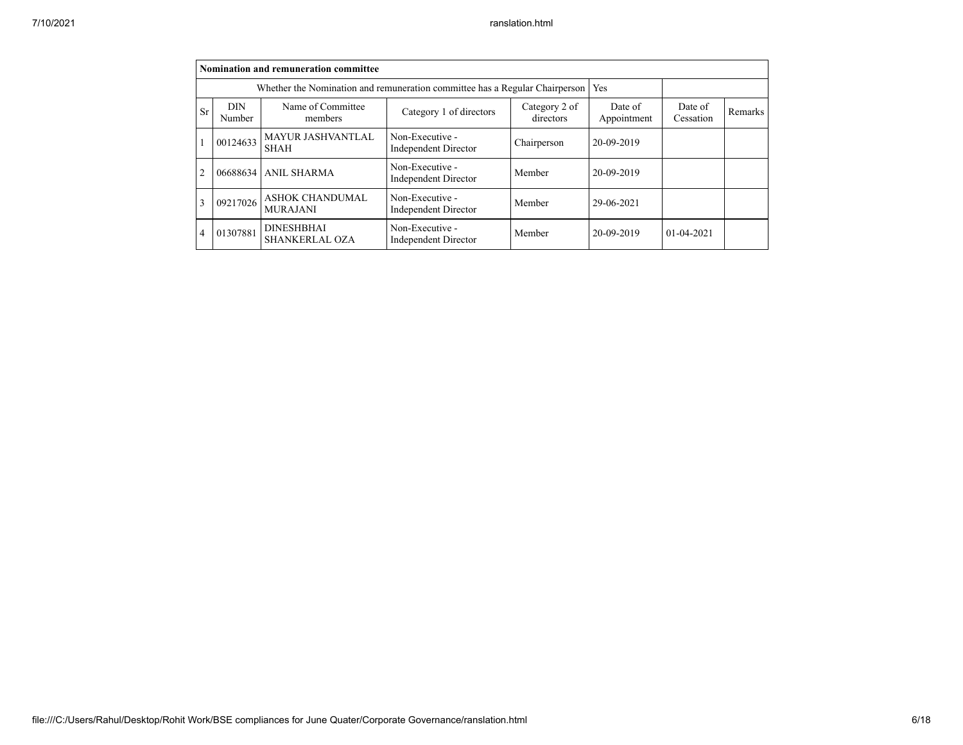|                |                      | Nomination and remuneration committee                                       |                                                |                        |                      |                  |  |
|----------------|----------------------|-----------------------------------------------------------------------------|------------------------------------------------|------------------------|----------------------|------------------|--|
|                |                      | Whether the Nomination and remuneration committee has a Regular Chairperson |                                                |                        | Yes                  |                  |  |
| <b>Sr</b>      | <b>DIN</b><br>Number | Name of Committee<br>members                                                | Category 2 of<br>directors                     | Date of<br>Appointment | Date of<br>Cessation | Remarks          |  |
|                | 00124633             | MAYUR JASHVANTLAL<br><b>SHAH</b>                                            | Non-Executive -<br><b>Independent Director</b> | Chairperson            | 20-09-2019           |                  |  |
| $\overline{2}$ | 06688634             | <b>ANIL SHARMA</b>                                                          | Non-Executive -<br><b>Independent Director</b> | Member                 | 20-09-2019           |                  |  |
| 3              | 09217026             | <b>ASHOK CHANDUMAL</b><br><b>MURAJANI</b>                                   | Non-Executive -<br><b>Independent Director</b> | Member                 | 29-06-2021           |                  |  |
| 4              | 01307881             | <b>DINESHBHAI</b><br><b>SHANKERLAL OZA</b>                                  | Non-Executive -<br><b>Independent Director</b> | Member                 | 20-09-2019           | $01 - 04 - 2021$ |  |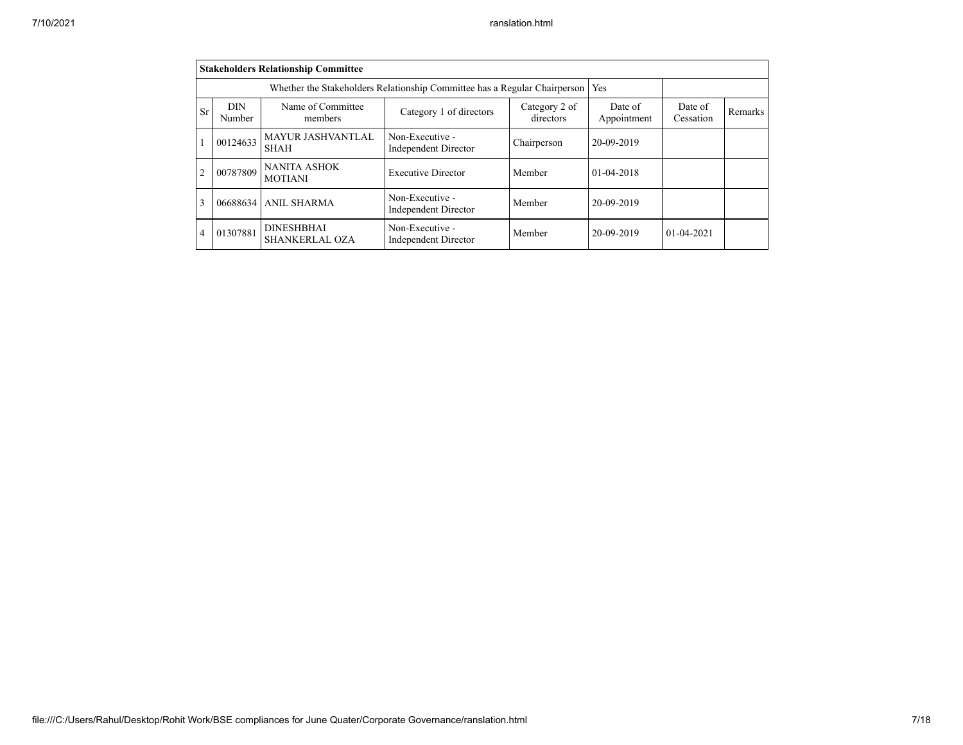|                |                      | <b>Stakeholders Relationship Committee</b> |                                                                           |                        |                      |                  |  |
|----------------|----------------------|--------------------------------------------|---------------------------------------------------------------------------|------------------------|----------------------|------------------|--|
|                |                      |                                            | Whether the Stakeholders Relationship Committee has a Regular Chairperson |                        | Yes                  |                  |  |
| Sr             | <b>DIN</b><br>Number | Name of Committee<br>members               | Category 2 of<br>directors                                                | Date of<br>Appointment | Date of<br>Cessation | Remarks          |  |
|                | 00124633             | <b>MAYUR JASHVANTLAL</b><br><b>SHAH</b>    | Non-Executive -<br><b>Independent Director</b>                            | Chairperson            | 20-09-2019           |                  |  |
| $\overline{2}$ | 00787809             | <b>NANITA ASHOK</b><br><b>MOTIANI</b>      | <b>Executive Director</b>                                                 | Member                 | 01-04-2018           |                  |  |
| 3              | 06688634             | <b>ANIL SHARMA</b>                         | Non-Executive -<br><b>Independent Director</b>                            | Member                 | 20-09-2019           |                  |  |
| $\overline{4}$ | 01307881             | <b>DINESHBHAI</b><br><b>SHANKERLAL OZA</b> | Non-Executive -<br><b>Independent Director</b>                            | Member                 | 20-09-2019           | $01 - 04 - 2021$ |  |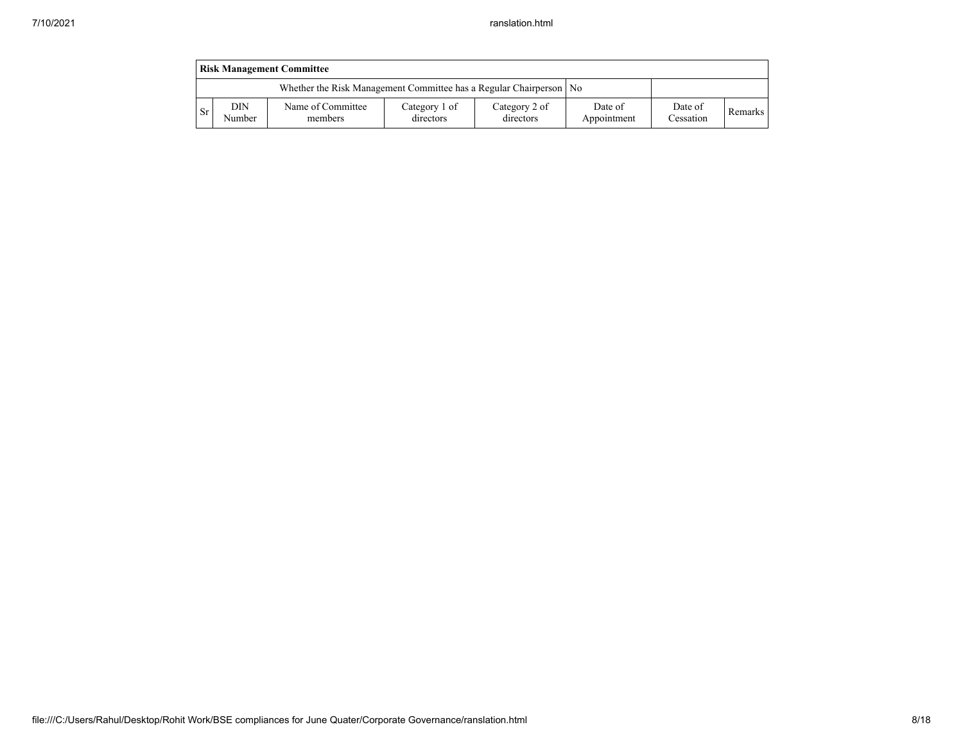|               | <b>Risk Management Committee</b>                                     |                              |                            |                            |                        |                      |         |  |  |  |  |  |
|---------------|----------------------------------------------------------------------|------------------------------|----------------------------|----------------------------|------------------------|----------------------|---------|--|--|--|--|--|
|               | Whether the Risk Management Committee has a Regular Chairperson   No |                              |                            |                            |                        |                      |         |  |  |  |  |  |
| <sub>Sr</sub> | DIN<br>Number                                                        | Name of Committee<br>members | Category 1 of<br>directors | Category 2 of<br>directors | Date of<br>Appointment | Date of<br>Cessation | Remarks |  |  |  |  |  |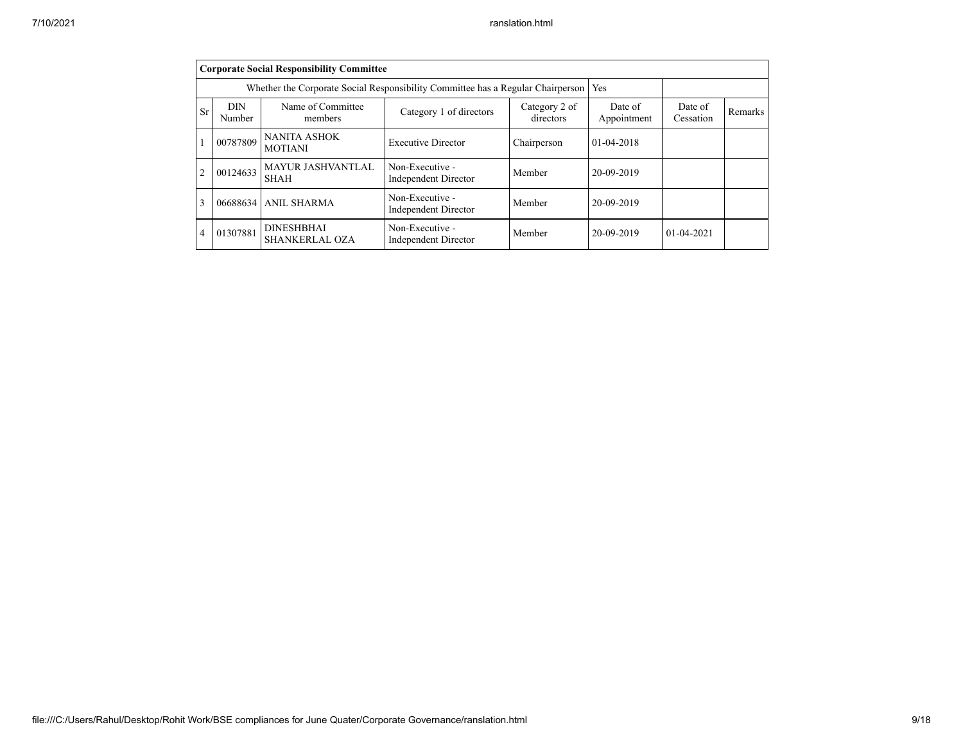|                | <b>Corporate Social Responsibility Committee</b> |                                            |                                                                                 |                        |                      |                  |  |  |  |  |
|----------------|--------------------------------------------------|--------------------------------------------|---------------------------------------------------------------------------------|------------------------|----------------------|------------------|--|--|--|--|
|                |                                                  |                                            | Whether the Corporate Social Responsibility Committee has a Regular Chairperson |                        | Yes                  |                  |  |  |  |  |
| Sr             | <b>DIN</b><br>Number                             | Name of Committee<br>members               | Category 2 of<br>directors                                                      | Date of<br>Appointment | Date of<br>Cessation | Remarks          |  |  |  |  |
|                | 00787809                                         | <b>NANITA ASHOK</b><br><b>MOTIANI</b>      | <b>Executive Director</b>                                                       | Chairperson            | $01-04-2018$         |                  |  |  |  |  |
| $\overline{c}$ | 00124633                                         | MAYUR JASHVANTLAL<br><b>SHAH</b>           | Non-Executive -<br><b>Independent Director</b>                                  | Member                 | 20-09-2019           |                  |  |  |  |  |
| 3              | 06688634                                         | <b>ANIL SHARMA</b>                         | Non-Executive -<br><b>Independent Director</b>                                  | Member                 | 20-09-2019           |                  |  |  |  |  |
| $\overline{4}$ | 01307881                                         | <b>DINESHBHAI</b><br><b>SHANKERLAL OZA</b> | Non-Executive -<br><b>Independent Director</b>                                  | Member                 | 20-09-2019           | $01 - 04 - 2021$ |  |  |  |  |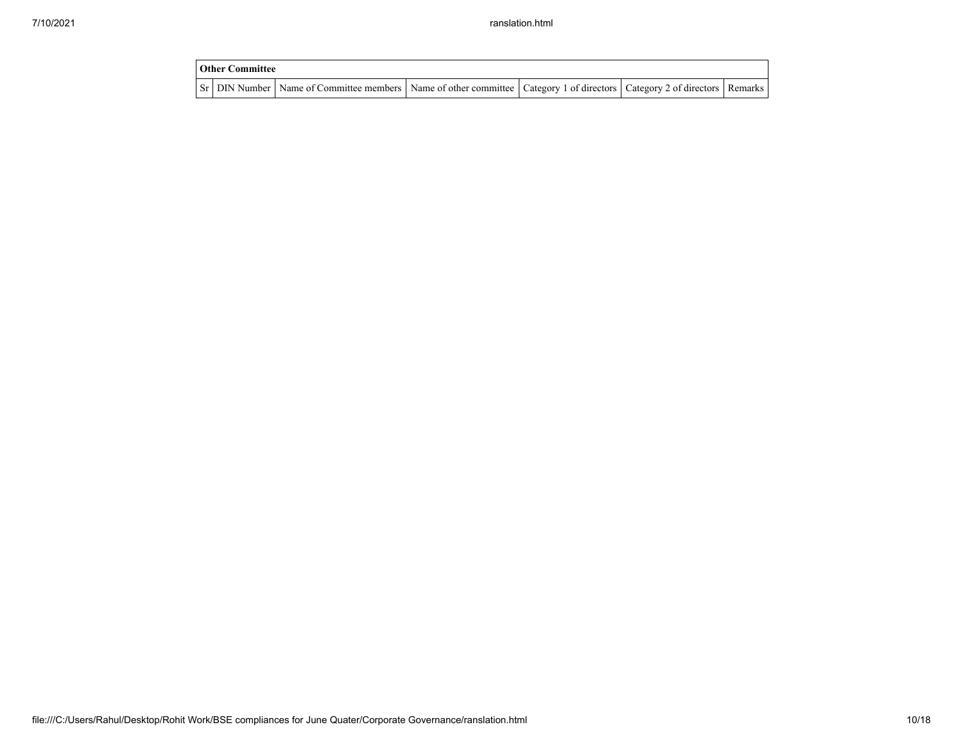| Other Committee |                                                                                                                                     |  |  |
|-----------------|-------------------------------------------------------------------------------------------------------------------------------------|--|--|
|                 | Sr   DIN Number   Name of Committee members   Name of other committee   Category 1 of directors   Category 2 of directors   Remarks |  |  |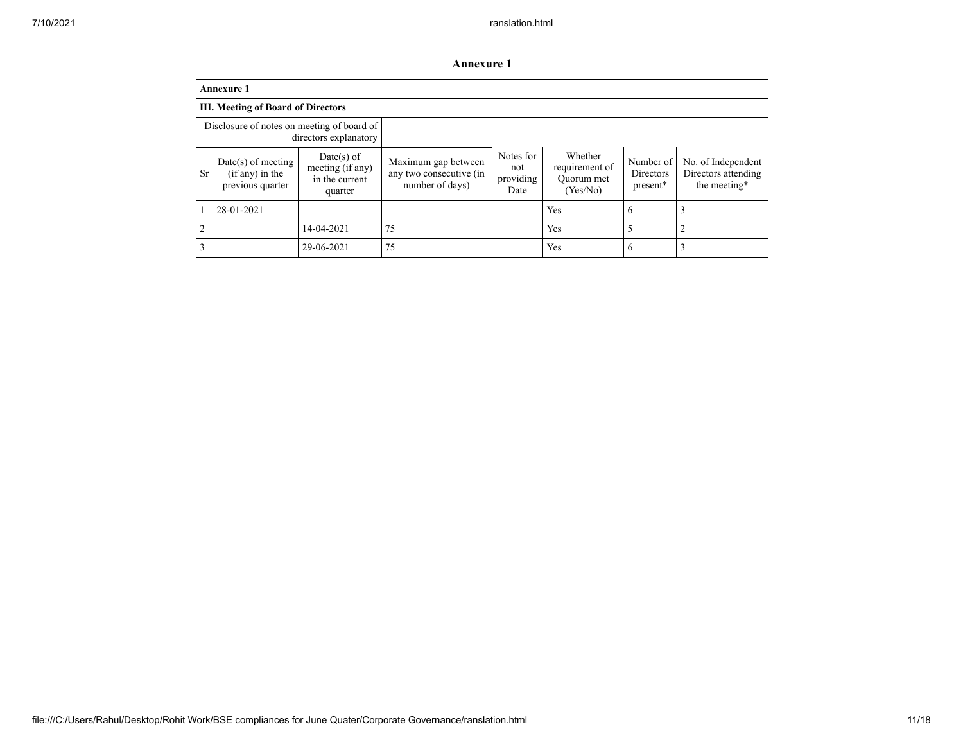|                | <b>Annexure 1</b>                                                   |                                                             |                                                                   |                                       |                                                     |                                    |                                                           |  |  |  |
|----------------|---------------------------------------------------------------------|-------------------------------------------------------------|-------------------------------------------------------------------|---------------------------------------|-----------------------------------------------------|------------------------------------|-----------------------------------------------------------|--|--|--|
|                | <b>Annexure 1</b>                                                   |                                                             |                                                                   |                                       |                                                     |                                    |                                                           |  |  |  |
|                | <b>III. Meeting of Board of Directors</b>                           |                                                             |                                                                   |                                       |                                                     |                                    |                                                           |  |  |  |
|                | Disclosure of notes on meeting of board of<br>directors explanatory |                                                             |                                                                   |                                       |                                                     |                                    |                                                           |  |  |  |
| <b>Sr</b>      | $Date(s)$ of meeting<br>$(if any)$ in the<br>previous quarter       | Date(s) of<br>meeting (if any)<br>in the current<br>quarter | Maximum gap between<br>any two consecutive (in<br>number of days) | Notes for<br>not<br>providing<br>Date | Whether<br>requirement of<br>Quorum met<br>(Yes/No) | Number of<br>Directors<br>present* | No. of Independent<br>Directors attending<br>the meeting* |  |  |  |
|                | 28-01-2021                                                          |                                                             |                                                                   |                                       | Yes                                                 | 6                                  |                                                           |  |  |  |
| $\overline{2}$ |                                                                     | 14-04-2021                                                  | 75                                                                |                                       | Yes                                                 | 5                                  |                                                           |  |  |  |
| 3              |                                                                     | 29-06-2021                                                  | 75                                                                |                                       | Yes                                                 | 6                                  |                                                           |  |  |  |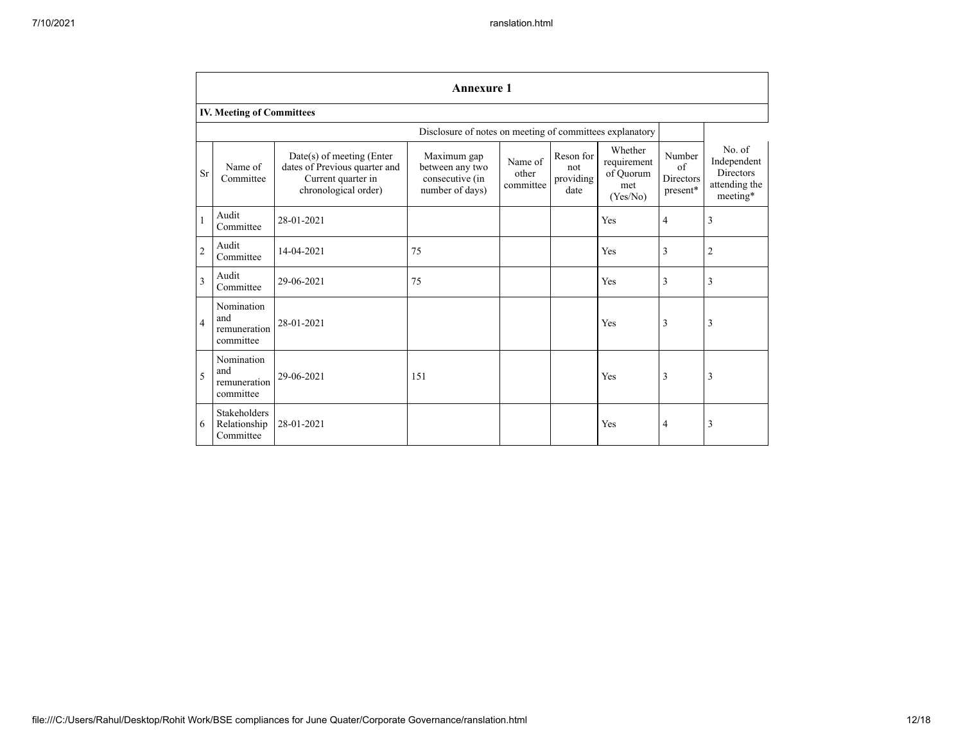|                | <b>Annexure 1</b>                              |                                                                                                            |                                                                      |                               |                                       |                                                        |                                       |                                                                                |  |  |
|----------------|------------------------------------------------|------------------------------------------------------------------------------------------------------------|----------------------------------------------------------------------|-------------------------------|---------------------------------------|--------------------------------------------------------|---------------------------------------|--------------------------------------------------------------------------------|--|--|
|                | IV. Meeting of Committees                      |                                                                                                            |                                                                      |                               |                                       |                                                        |                                       |                                                                                |  |  |
|                |                                                |                                                                                                            | Disclosure of notes on meeting of committees explanatory             |                               |                                       |                                                        |                                       |                                                                                |  |  |
| <b>Sr</b>      | Name of<br>Committee                           | $Date(s)$ of meeting (Enter<br>dates of Previous quarter and<br>Current quarter in<br>chronological order) | Maximum gap<br>between any two<br>consecutive (in<br>number of days) | Name of<br>other<br>committee | Reson for<br>not<br>providing<br>date | Whether<br>requirement<br>of Quorum<br>met<br>(Yes/No) | Number<br>of<br>Directors<br>present* | No. of<br>Independent<br><b>Directors</b><br>attending the<br>$\rm{meeting}^*$ |  |  |
| 1              | Audit<br>Committee                             | 28-01-2021                                                                                                 |                                                                      |                               |                                       | Yes                                                    | 4                                     | 3                                                                              |  |  |
| $\overline{2}$ | Audit<br>Committee                             | 14-04-2021                                                                                                 | 75                                                                   |                               |                                       | Yes                                                    | 3                                     | 2                                                                              |  |  |
| 3              | Audit<br>Committee                             | 29-06-2021                                                                                                 | 75                                                                   |                               |                                       | Yes                                                    | 3                                     | 3                                                                              |  |  |
| $\overline{4}$ | Nomination<br>and<br>remuneration<br>committee | 28-01-2021                                                                                                 |                                                                      |                               |                                       | Yes                                                    | 3                                     | 3                                                                              |  |  |
| 5              | Nomination<br>and<br>remuneration<br>committee | 29-06-2021                                                                                                 | 151                                                                  |                               |                                       | Yes                                                    | 3                                     | 3                                                                              |  |  |
| 6              | Stakeholders<br>Relationship<br>Committee      | 28-01-2021                                                                                                 |                                                                      |                               |                                       | Yes                                                    | 4                                     | 3                                                                              |  |  |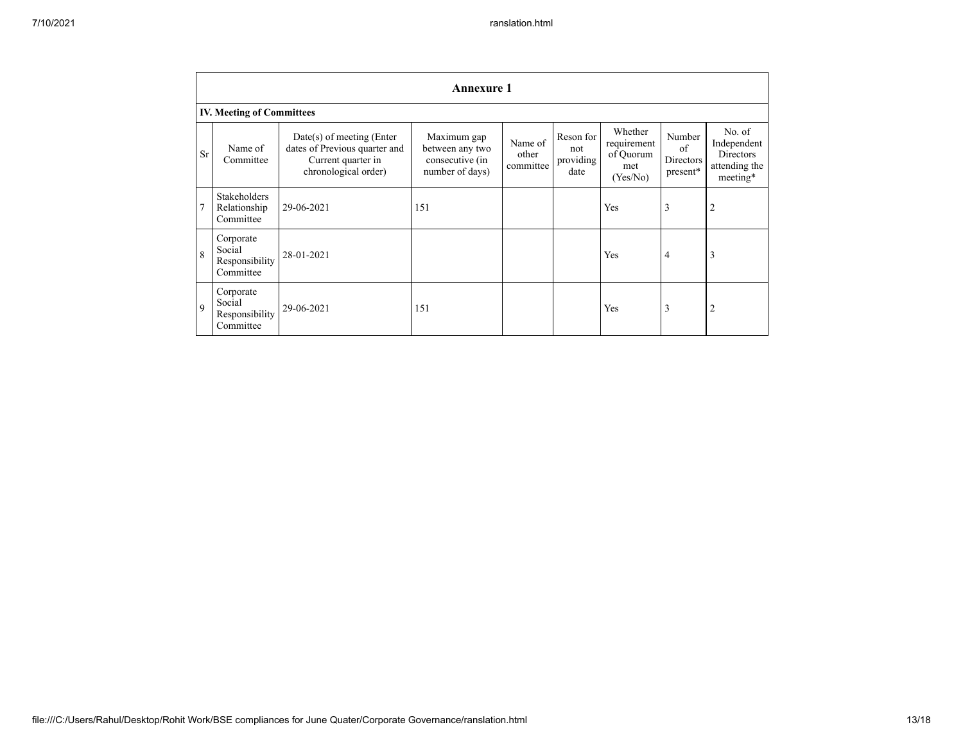|                | <b>Annexure 1</b>                                  |                                                                                                            |                                                                      |                               |                                       |                                                        |                                                   |                                                                        |
|----------------|----------------------------------------------------|------------------------------------------------------------------------------------------------------------|----------------------------------------------------------------------|-------------------------------|---------------------------------------|--------------------------------------------------------|---------------------------------------------------|------------------------------------------------------------------------|
|                | <b>IV. Meeting of Committees</b>                   |                                                                                                            |                                                                      |                               |                                       |                                                        |                                                   |                                                                        |
| <b>Sr</b>      | Name of<br>Committee                               | $Date(s)$ of meeting (Enter<br>dates of Previous quarter and<br>Current quarter in<br>chronological order) | Maximum gap<br>between any two<br>consecutive (in<br>number of days) | Name of<br>other<br>committee | Reson for<br>not<br>providing<br>date | Whether<br>requirement<br>of Quorum<br>met<br>(Yes/No) | Number<br>of<br>Directors<br>$\mathtt{present}^*$ | No. of<br>Independent<br><b>Directors</b><br>attending the<br>meeting* |
| $\overline{7}$ | <b>Stakeholders</b><br>Relationship<br>Committee   | 29-06-2021                                                                                                 | 151                                                                  |                               |                                       | Yes                                                    | 3                                                 | $\overline{2}$                                                         |
| $\mathbf{8}$   | Corporate<br>Social<br>Responsibility<br>Committee | 28-01-2021                                                                                                 |                                                                      |                               |                                       | Yes                                                    | 4                                                 | 3                                                                      |
| 9              | Corporate<br>Social<br>Responsibility<br>Committee | 29-06-2021                                                                                                 | 151                                                                  |                               |                                       | Yes                                                    | 3                                                 | $\overline{2}$                                                         |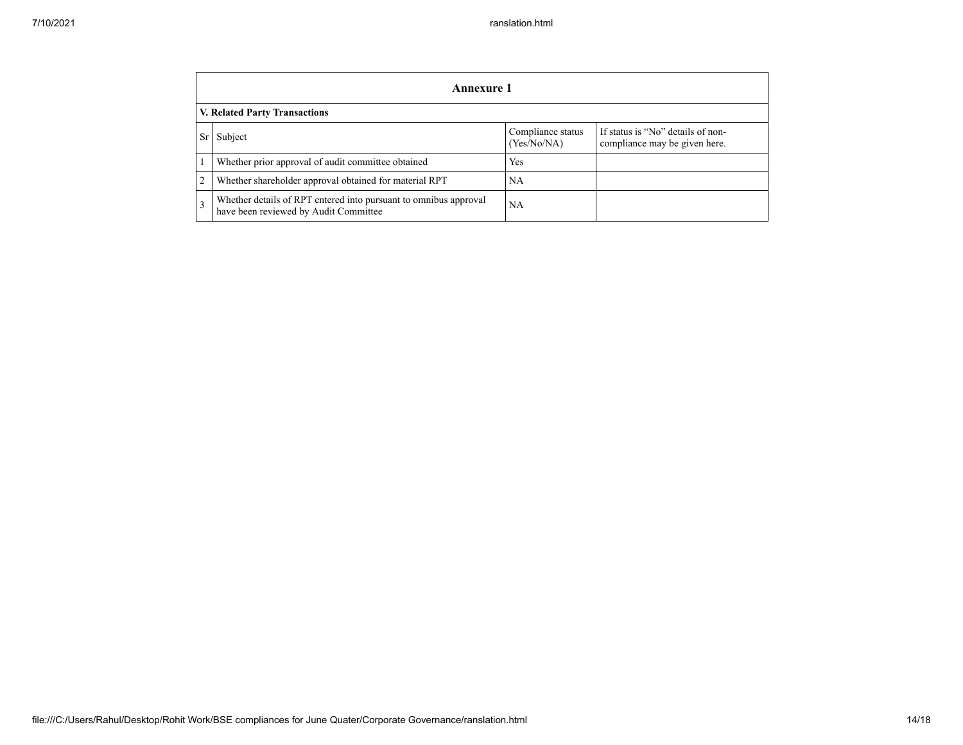|                | Annexure 1                                                                                                |                                  |                                                                    |  |  |
|----------------|-----------------------------------------------------------------------------------------------------------|----------------------------------|--------------------------------------------------------------------|--|--|
|                | <b>V. Related Party Transactions</b>                                                                      |                                  |                                                                    |  |  |
| Sr             | Subject                                                                                                   | Compliance status<br>(Yes/No/NA) | If status is "No" details of non-<br>compliance may be given here. |  |  |
|                | Whether prior approval of audit committee obtained                                                        | Yes                              |                                                                    |  |  |
| $\overline{2}$ | Whether shareholder approval obtained for material RPT                                                    | NA                               |                                                                    |  |  |
| 3              | Whether details of RPT entered into pursuant to omnibus approval<br>have been reviewed by Audit Committee | NA                               |                                                                    |  |  |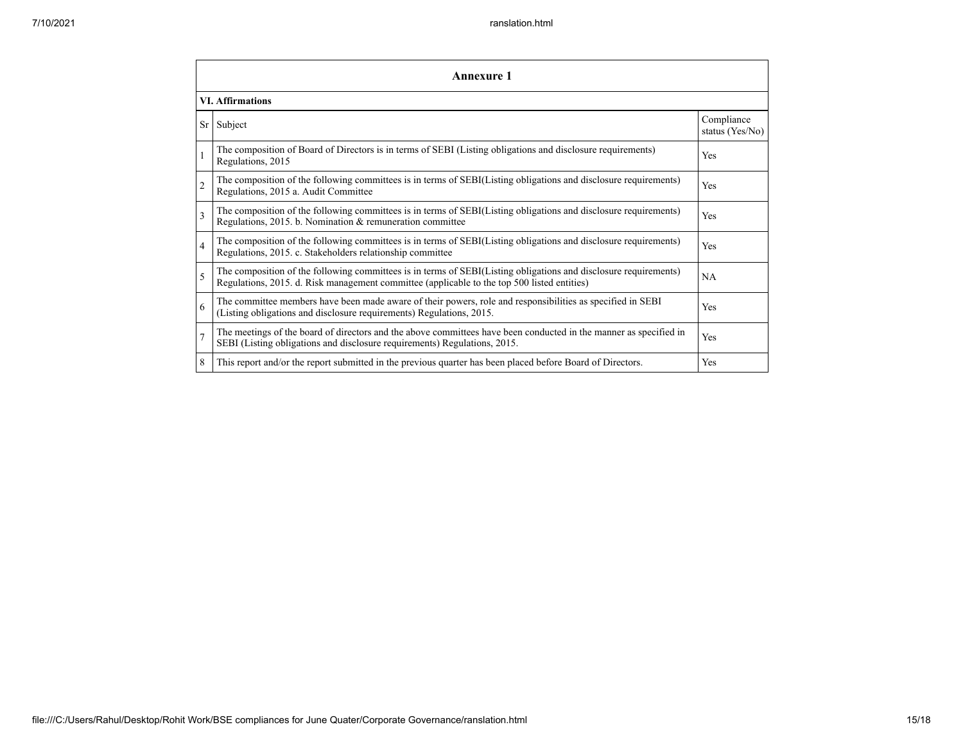| <b>Annexure 1</b>       |                                                                                                                                                                                                                 |                               |  |  |
|-------------------------|-----------------------------------------------------------------------------------------------------------------------------------------------------------------------------------------------------------------|-------------------------------|--|--|
| <b>VI.</b> Affirmations |                                                                                                                                                                                                                 |                               |  |  |
| Sr                      | Subject                                                                                                                                                                                                         | Compliance<br>status (Yes/No) |  |  |
|                         | The composition of Board of Directors is in terms of SEBI (Listing obligations and disclosure requirements)<br>Regulations, 2015                                                                                | Yes                           |  |  |
| $\overline{2}$          | The composition of the following committees is in terms of SEBI(Listing obligations and disclosure requirements)<br>Regulations, 2015 a. Audit Committee                                                        | Yes                           |  |  |
| $\mathbf{3}$            | The composition of the following committees is in terms of SEBI(Listing obligations and disclosure requirements)<br>Regulations, 2015. b. Nomination & remuneration committee                                   | <b>Yes</b>                    |  |  |
| $\overline{4}$          | The composition of the following committees is in terms of SEBI(Listing obligations and disclosure requirements)<br>Regulations, 2015. c. Stakeholders relationship committee                                   | Yes                           |  |  |
| 5                       | The composition of the following committees is in terms of SEBI(Listing obligations and disclosure requirements)<br>Regulations, 2015. d. Risk management committee (applicable to the top 500 listed entities) | NA                            |  |  |
| 6                       | The committee members have been made aware of their powers, role and responsibilities as specified in SEBI<br>(Listing obligations and disclosure requirements) Regulations, 2015.                              | Yes                           |  |  |
| $\overline{7}$          | The meetings of the board of directors and the above committees have been conducted in the manner as specified in<br>SEBI (Listing obligations and disclosure requirements) Regulations, 2015.                  | Yes                           |  |  |
| 8                       | This report and/or the report submitted in the previous quarter has been placed before Board of Directors.                                                                                                      | Yes                           |  |  |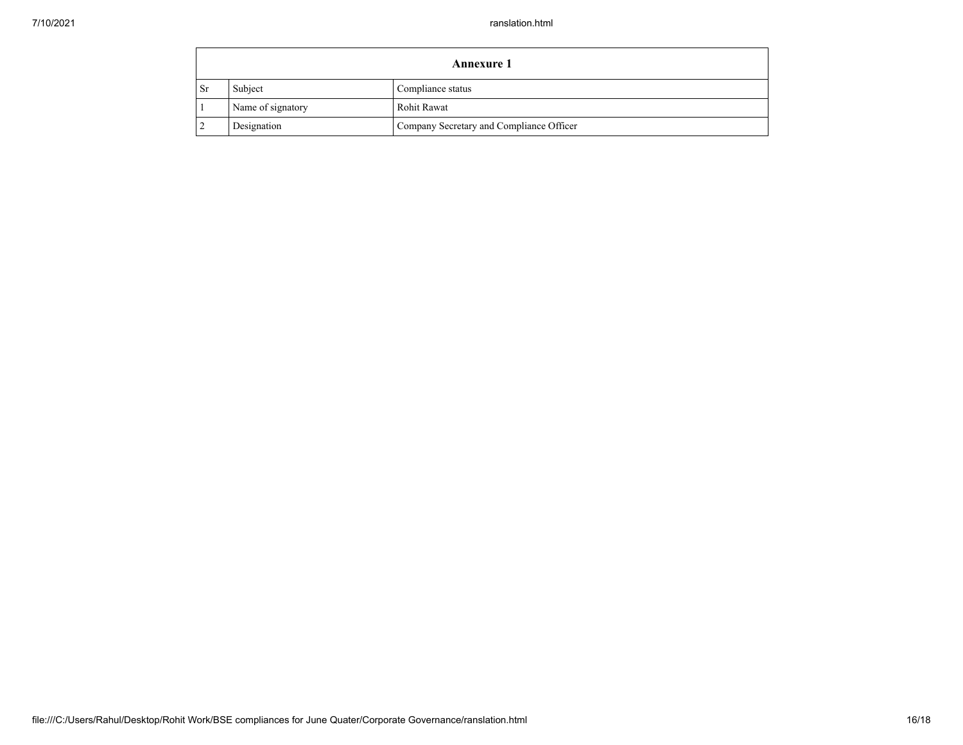| <b>Annexure 1</b> |                   |                                          |
|-------------------|-------------------|------------------------------------------|
| - Sr              | Subject           | Compliance status                        |
|                   | Name of signatory | Rohit Rawat                              |
|                   | Designation       | Company Secretary and Compliance Officer |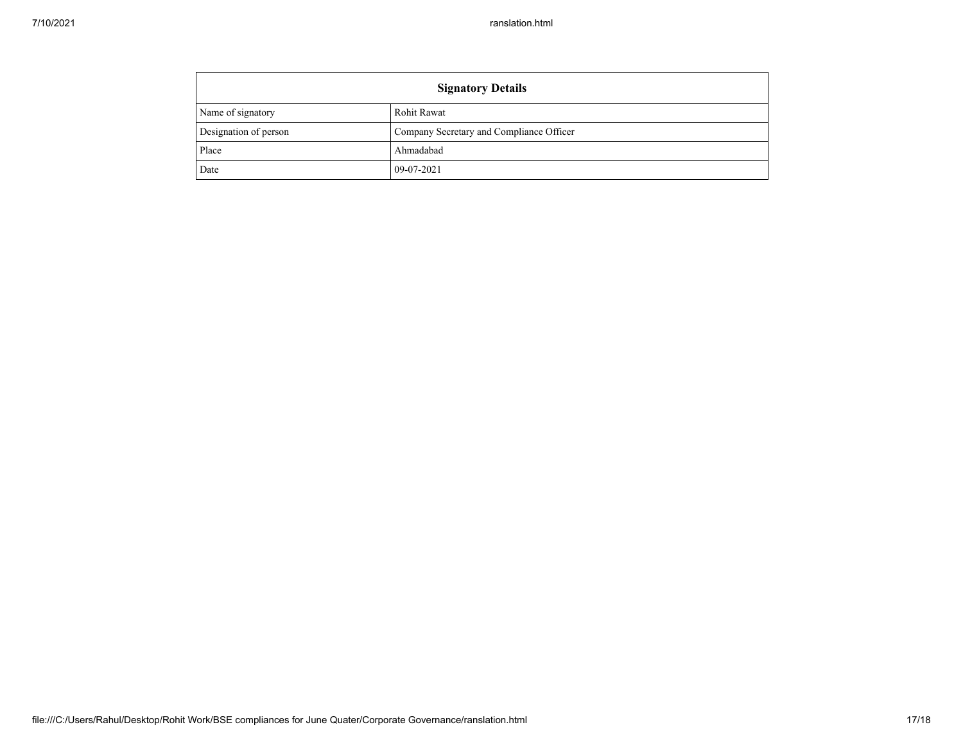| <b>Signatory Details</b> |                                          |  |
|--------------------------|------------------------------------------|--|
| Name of signatory        | Rohit Rawat                              |  |
| Designation of person    | Company Secretary and Compliance Officer |  |
| Place                    | Ahmadabad                                |  |
| Date                     | 09-07-2021                               |  |